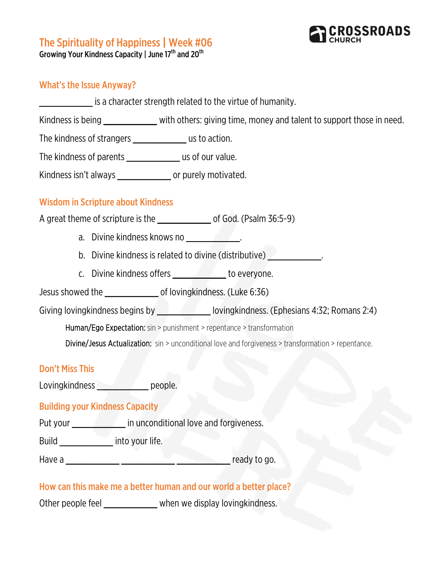

# The Spirituality of Happiness | Week #06<br>Growing Your Kindness Capacity | June 17<sup>th</sup> and 20<sup>th</sup>

### What's the Issue Anyway?

is a character strength related to the virtue of humanity.

Kindness is being equal to the with others: giving time, money and talent to support those in need.

The kindness of strangers \_\_\_\_\_\_\_\_\_\_ us to action.

The kindness of parents \_\_\_\_\_\_\_\_\_\_\_\_\_\_ us of our value.

Kindness isn't always \_\_\_\_\_\_\_\_\_\_ or purely motivated.

## Wisdom in Scripture about Kindness

A great theme of scripture is the \_\_\_\_\_\_\_\_\_\_\_\_\_\_\_\_ of God. (Psalm 36:5-9)

- a. Divine kindness knows no **with the set of the set of the set of the set of the set of the set of the set of th**
- b. Divine kindness is related to divine (distributive) \_\_\_\_\_\_\_\_\_\_\_\_\_\_\_\_\_\_\_\_\_\_\_\_\_
- c. Divine kindness offers to everyone.

Jesus showed the \_\_\_\_\_\_\_\_\_\_ of lovingkindness. (Luke 6:36)

Giving lovingkindness begins by \_\_\_\_\_\_\_\_\_\_\_\_\_\_\_\_\_\_ lovingkindness. (Ephesians 4:32; Romans 2:4)

Human/Ego Expectation: sin > punishment > repentance > transformation

Divine/Jesus Actualization: sin > unconditional love and forgiveness > transformation > repentance.

#### Don't Miss This

Lovingkindness \_\_\_\_\_\_\_\_\_\_\_\_\_ people.

#### Building your Kindness Capacity

Put your **constants and in unconditional love and forgiveness.** 

Build \_\_\_\_\_\_\_\_\_\_ into your life.

Have a \_\_\_\_\_\_\_\_\_\_ \_\_\_\_\_\_\_\_\_\_ \_\_\_\_\_\_\_\_\_\_ ready to go.

How can this make me a better human and our world a better place?

Other people feel \_\_\_\_\_\_\_\_\_\_\_\_ when we display lovingkindness.